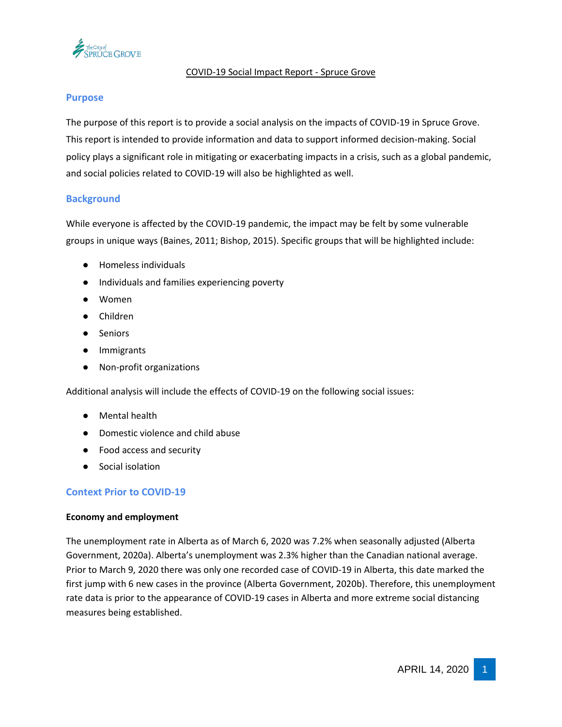

### COVID-19 Social Impact Report - Spruce Grove

### **Purpose**

The purpose of this report is to provide a social analysis on the impacts of COVID-19 in Spruce Grove. This report is intended to provide information and data to support informed decision-making. Social policy plays a significant role in mitigating or exacerbating impacts in a crisis, such as a global pandemic, and social policies related to COVID-19 will also be highlighted as well.

# **Background**

While everyone is affected by the COVID-19 pandemic, the impact may be felt by some vulnerable groups in unique ways (Baines, 2011; Bishop, 2015). Specific groups that will be highlighted include:

- Homeless individuals
- Individuals and families experiencing poverty
- Women
- Children
- Seniors
- Immigrants
- Non-profit organizations

Additional analysis will include the effects of COVID-19 on the following social issues:

- Mental health
- Domestic violence and child abuse
- Food access and security
- Social isolation

# **Context Prior to COVID-19**

#### **Economy and employment**

The unemployment rate in Alberta as of March 6, 2020 was 7.2% when seasonally adjusted (Alberta Government, 2020a). Alberta's unemployment was 2.3% higher than the Canadian national average. Prior to March 9, 2020 there was only one recorded case of COVID-19 in Alberta, this date marked the first jump with 6 new cases in the province (Alberta Government, 2020b). Therefore, this unemployment rate data is prior to the appearance of COVID-19 cases in Alberta and more extreme social distancing measures being established.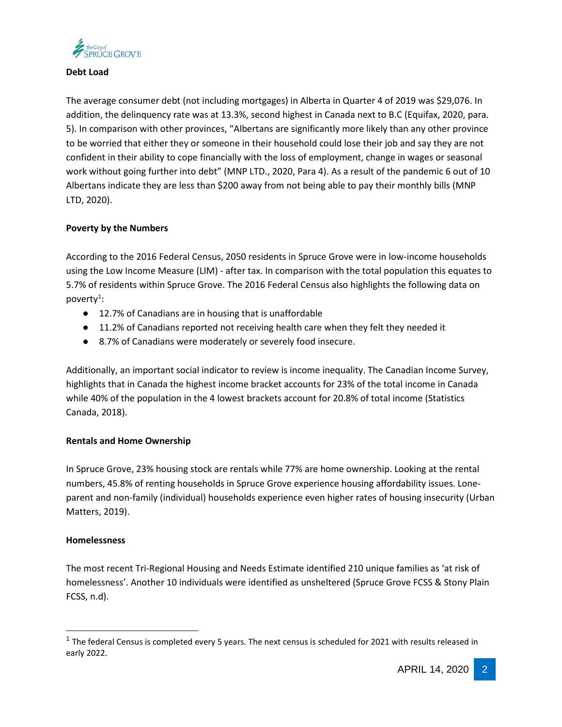

### **Debt Load**

The average consumer debt (not including mortgages) in Alberta in Quarter 4 of 2019 was \$29,076. In addition, the delinquency rate was at 13.3%, second highest in Canada next to B.C (Equifax, 2020, para. 5). In comparison with other provinces, "Albertans are significantly more likely than any other province to be worried that either they or someone in their household could lose their job and say they are not confident in their ability to cope financially with the loss of employment, change in wages or seasonal work without going further into debt" (MNP LTD., 2020, Para 4). As a result of the pandemic 6 out of 10 Albertans indicate they are less than \$200 away from not being able to pay their monthly bills (MNP LTD, 2020).

### **Poverty by the Numbers**

According to the 2016 Federal Census, 2050 residents in Spruce Grove were in low-income households using the Low Income Measure (LIM) - after tax. In comparison with the total population this equates to 5.7% of residents within Spruce Grove. The 2016 Federal Census also highlights the following data on poverty<sup>[1](#page-1-0)</sup>:

- 12.7% of Canadians are in housing that is unaffordable
- 11.2% of Canadians reported not receiving health care when they felt they needed it
- 8.7% of Canadians were moderately or severely food insecure.

Additionally, an important social indicator to review is income inequality. The Canadian Income Survey, highlights that in Canada the highest income bracket accounts for 23% of the total income in Canada while 40% of the population in the 4 lowest brackets account for 20.8% of total income (Statistics Canada, 2018).

### **Rentals and Home Ownership**

In Spruce Grove, 23% housing stock are rentals while 77% are home ownership. Looking at the rental numbers, 45.8% of renting households in Spruce Grove experience housing affordability issues. Loneparent and non-family (individual) households experience even higher rates of housing insecurity (Urban Matters, 2019).

### **Homelessness**

 $\ddot{\phantom{a}}$ 

The most recent Tri-Regional Housing and Needs Estimate identified 210 unique families as 'at risk of homelessness'. Another 10 individuals were identified as unsheltered (Spruce Grove FCSS & Stony Plain FCSS, n.d).

<span id="page-1-0"></span> $1$  The federal Census is completed every 5 years. The next census is scheduled for 2021 with results released in early 2022.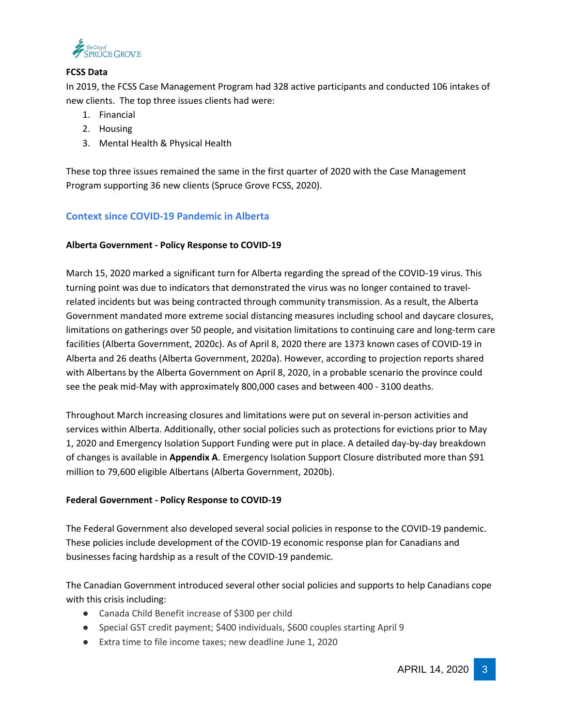

### **FCSS Data**

In 2019, the FCSS Case Management Program had 328 active participants and conducted 106 intakes of new clients. The top three issues clients had were:

- 1. Financial
- 2. Housing
- 3. Mental Health & Physical Health

These top three issues remained the same in the first quarter of 2020 with the Case Management Program supporting 36 new clients (Spruce Grove FCSS, 2020).

# **Context since COVID-19 Pandemic in Alberta**

### **Alberta Government - Policy Response to COVID-19**

March 15, 2020 marked a significant turn for Alberta regarding the spread of the COVID-19 virus. This turning point was due to indicators that demonstrated the virus was no longer contained to travelrelated incidents but was being contracted through community transmission. As a result, the Alberta Government mandated more extreme social distancing measures including school and daycare closures, limitations on gatherings over 50 people, and visitation limitations to continuing care and long-term care facilities (Alberta Government, 2020c). As of April 8, 2020 there are 1373 known cases of COVID-19 in Alberta and 26 deaths (Alberta Government, 2020a). However, according to projection reports shared with Albertans by the Alberta Government on April 8, 2020, in a probable scenario the province could see the peak mid-May with approximately 800,000 cases and between 400 - 3100 deaths.

Throughout March increasing closures and limitations were put on several in-person activities and services within Alberta. Additionally, other social policies such as protections for evictions prior to May 1, 2020 and Emergency Isolation Support Funding were put in place. A detailed day-by-day breakdown of changes is available in **Appendix A**. Emergency Isolation Support Closure distributed more than \$91 million to 79,600 eligible Albertans (Alberta Government, 2020b).

### **Federal Government - Policy Response to COVID-19**

The Federal Government also developed several social policies in response to the COVID-19 pandemic. These policies include development of the COVID-19 economic response plan for Canadians and businesses facing hardship as a result of the COVID-19 pandemic.

The Canadian Government introduced several other social policies and supports to help Canadians cope with this crisis including:

- Canada Child Benefit increase of \$300 per child
- Special GST credit payment; \$400 individuals, \$600 couples starting April 9
- Extra time to file income taxes; new deadline June 1, 2020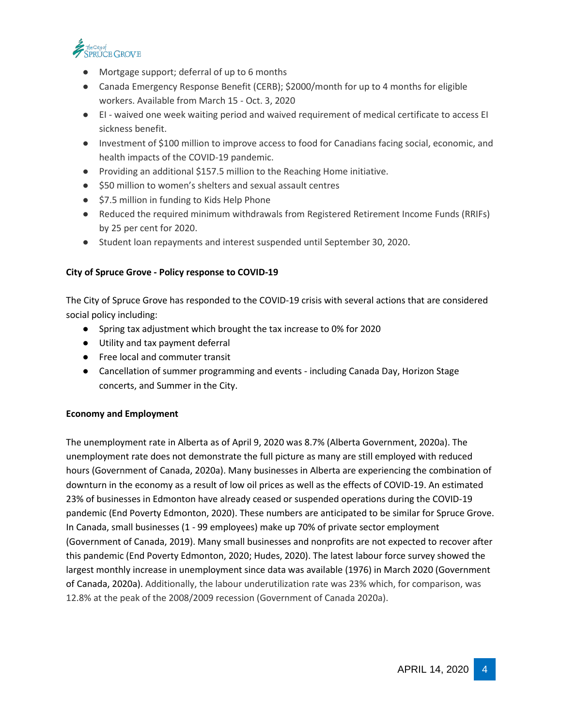

- Mortgage support; deferral of up to 6 months
- Canada Emergency Response Benefit (CERB); \$2000/month for up to 4 months for eligible workers. Available from March 15 - Oct. 3, 2020
- EI waived one week waiting period and waived requirement of medical certificate to access EI sickness benefit.
- Investment of \$100 million to improve access to food for Canadians facing social, economic, and health impacts of the COVID-19 pandemic.
- Providing an additional \$157.5 million to the Reaching Home initiative.
- \$50 million to women's shelters and sexual assault centres
- \$7.5 million in funding to Kids Help Phone
- Reduced the required minimum withdrawals from Registered Retirement Income Funds (RRIFs) by 25 per cent for 2020.
- Student loan repayments and interest suspended until September 30, 2020.

# **City of Spruce Grove - Policy response to COVID-19**

The City of Spruce Grove has responded to the COVID-19 crisis with several actions that are considered social policy including:

- Spring tax adjustment which brought the tax increase to 0% for 2020
- Utility and tax payment deferral
- Free local and commuter transit
- Cancellation of summer programming and events including Canada Day, Horizon Stage concerts, and Summer in the City.

### **Economy and Employment**

The unemployment rate in Alberta as of April 9, 2020 was 8.7% (Alberta Government, 2020a). The unemployment rate does not demonstrate the full picture as many are still employed with reduced hours (Government of Canada, 2020a). Many businesses in Alberta are experiencing the combination of downturn in the economy as a result of low oil prices as well as the effects of COVID-19. An estimated 23% of businesses in Edmonton have already ceased or suspended operations during the COVID-19 pandemic (End Poverty Edmonton, 2020). These numbers are anticipated to be similar for Spruce Grove. In Canada, small businesses (1 - 99 employees) make up 70% of private sector employment (Government of Canada, 2019). Many small businesses and nonprofits are not expected to recover after this pandemic (End Poverty Edmonton, 2020; Hudes, 2020). The latest labour force survey showed the largest monthly increase in unemployment since data was available (1976) in March 2020 (Government of Canada, 2020a). Additionally, the labour underutilization rate was 23% which, for comparison, was 12.8% at the peak of the 2008/2009 recession (Government of Canada 2020a).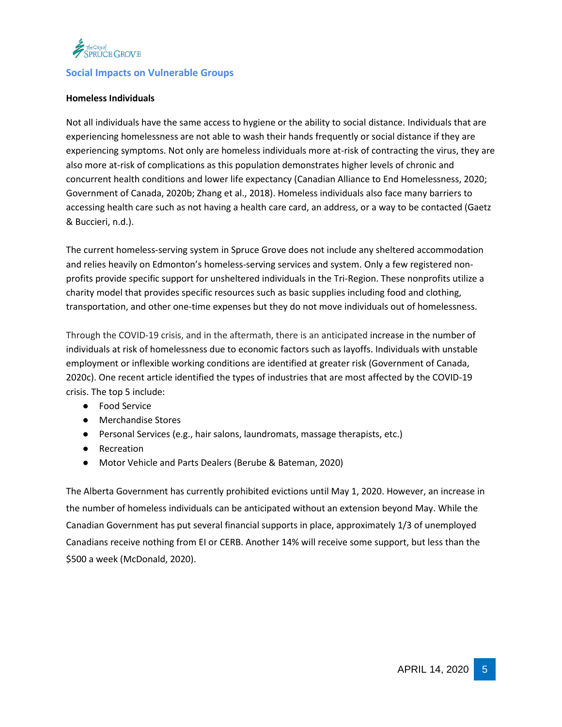

# **Social Impacts on Vulnerable Groups**

### **Homeless Individuals**

Not all individuals have the same access to hygiene or the ability to social distance. Individuals that are experiencing homelessness are not able to wash their hands frequently or social distance if they are experiencing symptoms. Not only are homeless individuals more at-risk of contracting the virus, they are also more at-risk of complications as this population demonstrates higher levels of chronic and concurrent health conditions and lower life expectancy (Canadian Alliance to End Homelessness, 2020; Government of Canada, 2020b; Zhang et al., 2018). Homeless individuals also face many barriers to accessing health care such as not having a health care card, an address, or a way to be contacted (Gaetz & Buccieri, n.d.).

The current homeless-serving system in Spruce Grove does not include any sheltered accommodation and relies heavily on Edmonton's homeless-serving services and system. Only a few registered nonprofits provide specific support for unsheltered individuals in the Tri-Region. These nonprofits utilize a charity model that provides specific resources such as basic supplies including food and clothing, transportation, and other one-time expenses but they do not move individuals out of homelessness.

Through the COVID-19 crisis, and in the aftermath, there is an anticipated increase in the number of individuals at risk of homelessness due to economic factors such as layoffs. Individuals with unstable employment or inflexible working conditions are identified at greater risk (Government of Canada, 2020c). One recent article identified the types of industries that are most affected by the COVID-19 crisis. The top 5 include:

- Food Service
- Merchandise Stores
- Personal Services (e.g., hair salons, laundromats, massage therapists, etc.)
- Recreation
- Motor Vehicle and Parts Dealers (Berube & Bateman, 2020)

The Alberta Government has currently prohibited evictions until May 1, 2020. However, an increase in the number of homeless individuals can be anticipated without an extension beyond May. While the Canadian Government has put several financial supports in place, approximately 1/3 of unemployed Canadians receive nothing from EI or CERB. Another 14% will receive some support, but less than the \$500 a week (McDonald, 2020).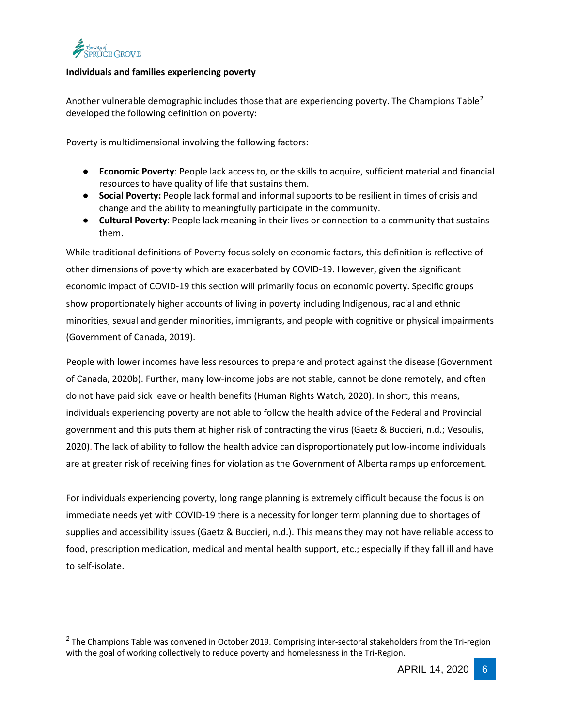

 $\ddot{\phantom{a}}$ 

### **Individuals and families experiencing poverty**

Another vulnerable demographic includes those that are experiencing poverty. The Champions Table<sup>[2](#page-5-0)</sup> developed the following definition on poverty:

Poverty is multidimensional involving the following factors:

- **Economic Poverty**: People lack access to, or the skills to acquire, sufficient material and financial resources to have quality of life that sustains them.
- **Social Poverty:** People lack formal and informal supports to be resilient in times of crisis and change and the ability to meaningfully participate in the community.
- **Cultural Poverty**: People lack meaning in their lives or connection to a community that sustains them.

While traditional definitions of Poverty focus solely on economic factors, this definition is reflective of other dimensions of poverty which are exacerbated by COVID-19. However, given the significant economic impact of COVID-19 this section will primarily focus on economic poverty. Specific groups show proportionately higher accounts of living in poverty including Indigenous, racial and ethnic minorities, sexual and gender minorities, immigrants, and people with cognitive or physical impairments (Government of Canada, 2019).

People with lower incomes have less resources to prepare and protect against the disease (Government of Canada, 2020b). Further, many low-income jobs are not stable, cannot be done remotely, and often do not have paid sick leave or health benefits (Human Rights Watch, 2020). In short, this means, individuals experiencing poverty are not able to follow the health advice of the Federal and Provincial government and this puts them at higher risk of contracting the virus (Gaetz & Buccieri, n.d.; Vesoulis, 2020). The lack of ability to follow the health advice can disproportionately put low-income individuals are at greater risk of receiving fines for violation as the Government of Alberta ramps up enforcement.

For individuals experiencing poverty, long range planning is extremely difficult because the focus is on immediate needs yet with COVID-19 there is a necessity for longer term planning due to shortages of supplies and accessibility issues (Gaetz & Buccieri, n.d.). This means they may not have reliable access to food, prescription medication, medical and mental health support, etc.; especially if they fall ill and have to self-isolate.

<span id="page-5-0"></span><sup>&</sup>lt;sup>2</sup> The Champions Table was convened in October 2019. Comprising inter-sectoral stakeholders from the Tri-region with the goal of working collectively to reduce poverty and homelessness in the Tri-Region.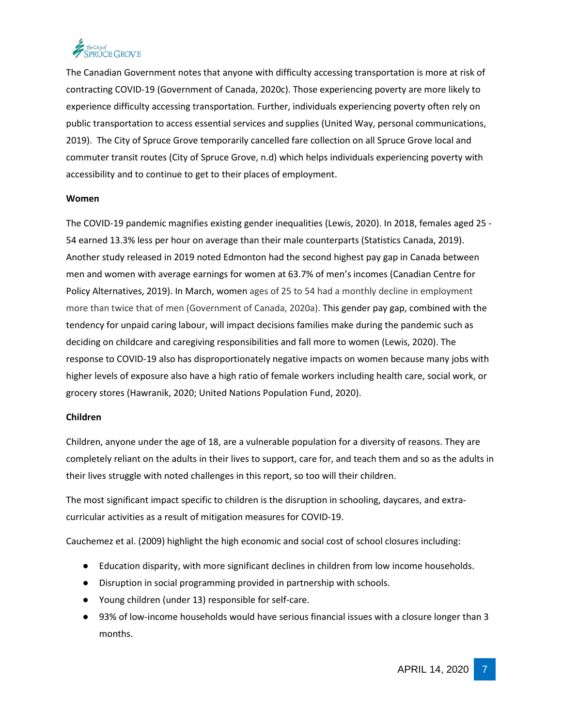

The Canadian Government notes that anyone with difficulty accessing transportation is more at risk of contracting COVID-19 (Government of Canada, 2020c). Those experiencing poverty are more likely to experience difficulty accessing transportation. Further, individuals experiencing poverty often rely on public transportation to access essential services and supplies (United Way, personal communications, 2019). The City of Spruce Grove temporarily cancelled fare collection on all Spruce Grove local and commuter transit routes (City of Spruce Grove, n.d) which helps individuals experiencing poverty with accessibility and to continue to get to their places of employment.

#### **Women**

The COVID-19 pandemic magnifies existing gender inequalities (Lewis, 2020). In 2018, females aged 25 - 54 earned 13.3% less per hour on average than their male counterparts (Statistics Canada, 2019). Another study released in 2019 noted Edmonton had the second highest pay gap in Canada between men and women with average earnings for women at 63.7% of men's incomes (Canadian Centre for Policy Alternatives, 2019). In March, women ages of 25 to 54 had a monthly decline in employment more than twice that of men (Government of Canada, 2020a). This gender pay gap, combined with the tendency for unpaid caring labour, will impact decisions families make during the pandemic such as deciding on childcare and caregiving responsibilities and fall more to women (Lewis, 2020). The response to COVID-19 also has disproportionately negative impacts on women because many jobs with higher levels of exposure also have a high ratio of female workers including health care, social work, or grocery stores (Hawranik, 2020; United Nations Population Fund, 2020).

#### **Children**

Children, anyone under the age of 18, are a vulnerable population for a diversity of reasons. They are completely reliant on the adults in their lives to support, care for, and teach them and so as the adults in their lives struggle with noted challenges in this report, so too will their children.

The most significant impact specific to children is the disruption in schooling, daycares, and extracurricular activities as a result of mitigation measures for COVID-19.

Cauchemez et al. (2009) highlight the high economic and social cost of school closures including:

- Education disparity, with more significant declines in children from low income households.
- Disruption in social programming provided in partnership with schools.
- Young children (under 13) responsible for self-care.
- 93% of low-income households would have serious financial issues with a closure longer than 3 months.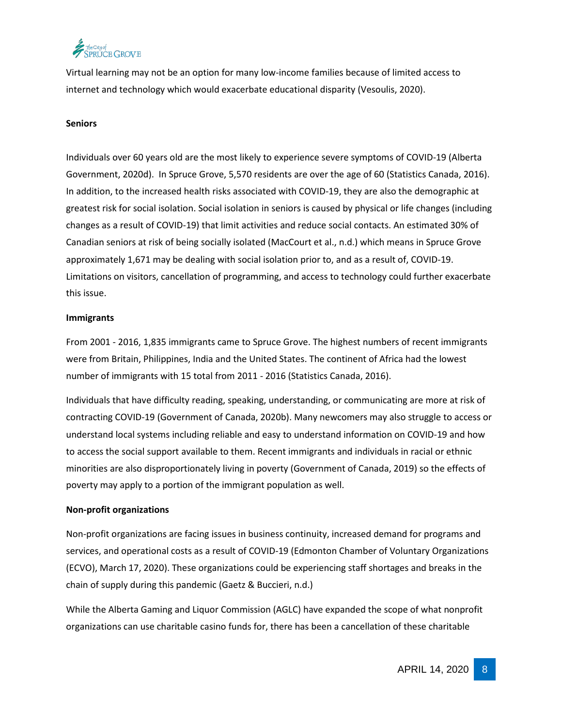

Virtual learning may not be an option for many low-income families because of limited access to internet and technology which would exacerbate educational disparity (Vesoulis, 2020).

#### **Seniors**

Individuals over 60 years old are the most likely to experience severe symptoms of COVID-19 (Alberta Government, 2020d). In Spruce Grove, 5,570 residents are over the age of 60 (Statistics Canada, 2016). In addition, to the increased health risks associated with COVID-19, they are also the demographic at greatest risk for social isolation. Social isolation in seniors is caused by physical or life changes (including changes as a result of COVID-19) that limit activities and reduce social contacts. An estimated 30% of Canadian seniors at risk of being socially isolated (MacCourt et al., n.d.) which means in Spruce Grove approximately 1,671 may be dealing with social isolation prior to, and as a result of, COVID-19. Limitations on visitors, cancellation of programming, and access to technology could further exacerbate this issue.

#### **Immigrants**

From 2001 - 2016, 1,835 immigrants came to Spruce Grove. The highest numbers of recent immigrants were from Britain, Philippines, India and the United States. The continent of Africa had the lowest number of immigrants with 15 total from 2011 - 2016 (Statistics Canada, 2016).

Individuals that have difficulty reading, speaking, understanding, or communicating are more at risk of contracting COVID-19 (Government of Canada, 2020b). Many newcomers may also struggle to access or understand local systems including reliable and easy to understand information on COVID-19 and how to access the social support available to them. Recent immigrants and individuals in racial or ethnic minorities are also disproportionately living in poverty (Government of Canada, 2019) so the effects of poverty may apply to a portion of the immigrant population as well.

#### **Non-profit organizations**

Non-profit organizations are facing issues in business continuity, increased demand for programs and services, and operational costs as a result of COVID-19 (Edmonton Chamber of Voluntary Organizations (ECVO), March 17, 2020). These organizations could be experiencing staff shortages and breaks in the chain of supply during this pandemic (Gaetz & Buccieri, n.d.)

While the Alberta Gaming and Liquor Commission (AGLC) have expanded the scope of what nonprofit organizations can use charitable casino funds for, there has been a cancellation of these charitable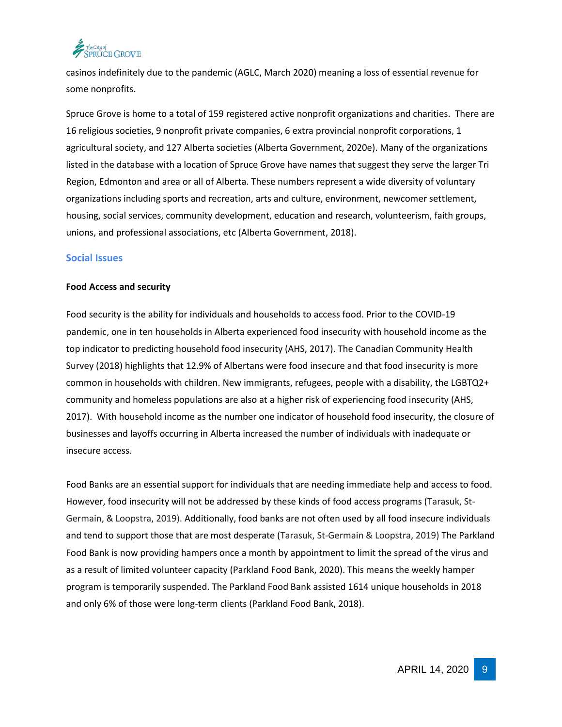

casinos indefinitely due to the pandemic (AGLC, March 2020) meaning a loss of essential revenue for some nonprofits.

Spruce Grove is home to a total of 159 registered active nonprofit organizations and charities. There are 16 religious societies, 9 nonprofit private companies, 6 extra provincial nonprofit corporations, 1 agricultural society, and 127 Alberta societies (Alberta Government, 2020e). Many of the organizations listed in the database with a location of Spruce Grove have names that suggest they serve the larger Tri Region, Edmonton and area or all of Alberta. These numbers represent a wide diversity of voluntary organizations including sports and recreation, arts and culture, environment, newcomer settlement, housing, social services, community development, education and research, volunteerism, faith groups, unions, and professional associations, etc (Alberta Government, 2018).

### **Social Issues**

### **Food Access and security**

Food security is the ability for individuals and households to access food. Prior to the COVID-19 pandemic, one in ten households in Alberta experienced food insecurity with household income as the top indicator to predicting household food insecurity (AHS, 2017). The Canadian Community Health Survey (2018) highlights that 12.9% of Albertans were food insecure and that food insecurity is more common in households with children. New immigrants, refugees, people with a disability, the LGBTQ2+ community and homeless populations are also at a higher risk of experiencing food insecurity (AHS, 2017). With household income as the number one indicator of household food insecurity, the closure of businesses and layoffs occurring in Alberta increased the number of individuals with inadequate or insecure access.

Food Banks are an essential support for individuals that are needing immediate help and access to food. However, food insecurity will not be addressed by these kinds of food access programs (Tarasuk, St-Germain, & Loopstra, 2019). Additionally, food banks are not often used by all food insecure individuals and tend to support those that are most desperate (Tarasuk, St-Germain & Loopstra, 2019) The Parkland Food Bank is now providing hampers once a month by appointment to limit the spread of the virus and as a result of limited volunteer capacity (Parkland Food Bank, 2020). This means the weekly hamper program is temporarily suspended. The Parkland Food Bank assisted 1614 unique households in 2018 and only 6% of those were long-term clients (Parkland Food Bank, 2018).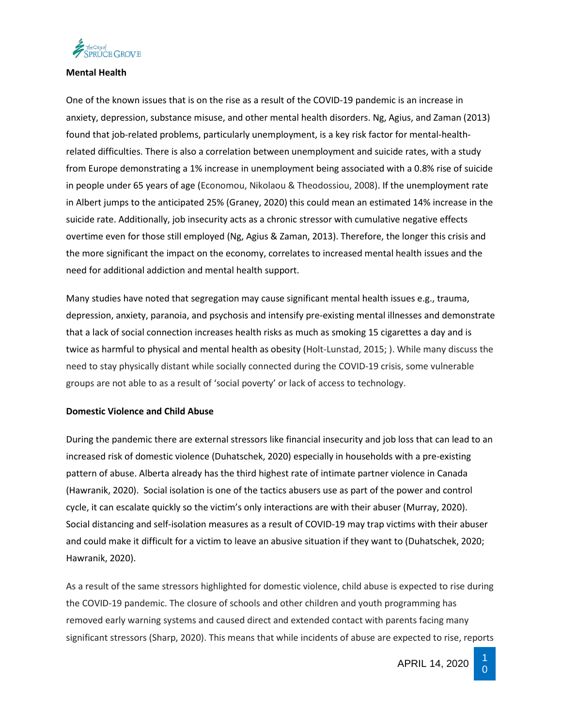

#### **Mental Health**

One of the known issues that is on the rise as a result of the COVID-19 pandemic is an increase in anxiety, depression, substance misuse, and other mental health disorders. Ng, Agius, and Zaman (2013) found that job-related problems, particularly unemployment, is a key risk factor for mental-healthrelated difficulties. There is also a correlation between unemployment and suicide rates, with a study from Europe demonstrating a 1% increase in unemployment being associated with a 0.8% rise of suicide in people under 65 years of age (Economou, Nikolaou & Theodossiou, 2008). If the unemployment rate in Albert jumps to the anticipated 25% (Graney, 2020) this could mean an estimated 14% increase in the suicide rate. Additionally, job insecurity acts as a chronic stressor with cumulative negative effects overtime even for those still employed (Ng, Agius & Zaman, 2013). Therefore, the longer this crisis and the more significant the impact on the economy, correlates to increased mental health issues and the need for additional addiction and mental health support.

Many studies have noted that segregation may cause significant mental health issues e.g., trauma, depression, anxiety, paranoia, and psychosis and intensify pre-existing mental illnesses and demonstrate that a lack of social connection increases health risks as much as smoking 15 cigarettes a day and is twice as harmful to physical and mental health as obesity (Holt-Lunstad, 2015; ). While many discuss the need to stay physically distant while socially connected during the COVID-19 crisis, some vulnerable groups are not able to as a result of 'social poverty' or lack of access to technology.

#### **Domestic Violence and Child Abuse**

During the pandemic there are external stressors like financial insecurity and job loss that can lead to an increased risk of domestic violence (Duhatschek, 2020) especially in households with a pre-existing pattern of abuse. Alberta already has the third highest rate of intimate partner violence in Canada (Hawranik, 2020). Social isolation is one of the tactics abusers use as part of the power and control cycle, it can escalate quickly so the victim's only interactions are with their abuser (Murray, 2020). Social distancing and self-isolation measures as a result of COVID-19 may trap victims with their abuser and could make it difficult for a victim to leave an abusive situation if they want to (Duhatschek, 2020; Hawranik, 2020).

As a result of the same stressors highlighted for domestic violence, child abuse is expected to rise during the COVID-19 pandemic. The closure of schools and other children and youth programming has removed early warning systems and caused direct and extended contact with parents facing many significant stressors (Sharp, 2020). This means that while incidents of abuse are expected to rise, reports

APRIL 14, 2020 <sup>1</sup>

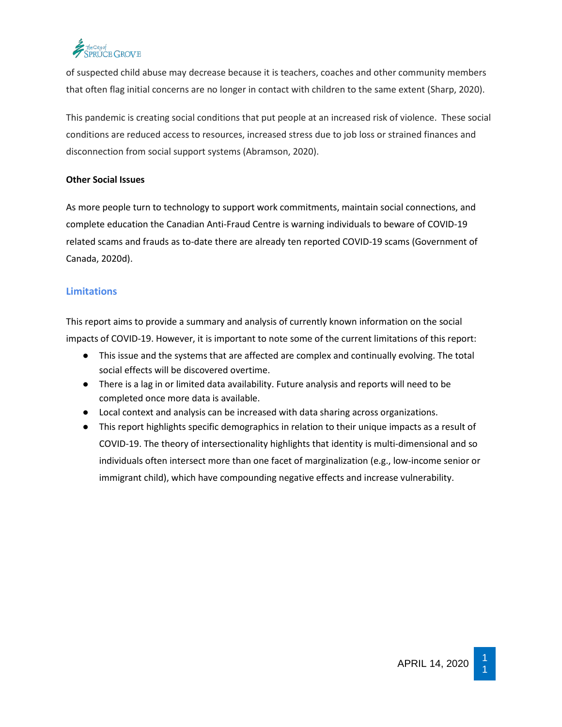

of suspected child abuse may decrease because it is teachers, coaches and other community members that often flag initial concerns are no longer in contact with children to the same extent (Sharp, 2020).

This pandemic is creating social conditions that put people at an increased risk of violence. These social conditions are reduced access to resources, increased stress due to job loss or strained finances and disconnection from social support systems (Abramson, 2020).

### **Other Social Issues**

As more people turn to technology to support work commitments, maintain social connections, and complete education the Canadian Anti-Fraud Centre is warning individuals to beware of COVID-19 related scams and frauds as to-date there are already ten reported COVID-19 scams (Government of Canada, 2020d).

### **Limitations**

This report aims to provide a summary and analysis of currently known information on the social impacts of COVID-19. However, it is important to note some of the current limitations of this report:

- This issue and the systems that are affected are complex and continually evolving. The total social effects will be discovered overtime.
- There is a lag in or limited data availability. Future analysis and reports will need to be completed once more data is available.
- Local context and analysis can be increased with data sharing across organizations.
- This report highlights specific demographics in relation to their unique impacts as a result of COVID-19. The theory of intersectionality highlights that identity is multi-dimensional and so individuals often intersect more than one facet of marginalization (e.g., low-income senior or immigrant child), which have compounding negative effects and increase vulnerability.

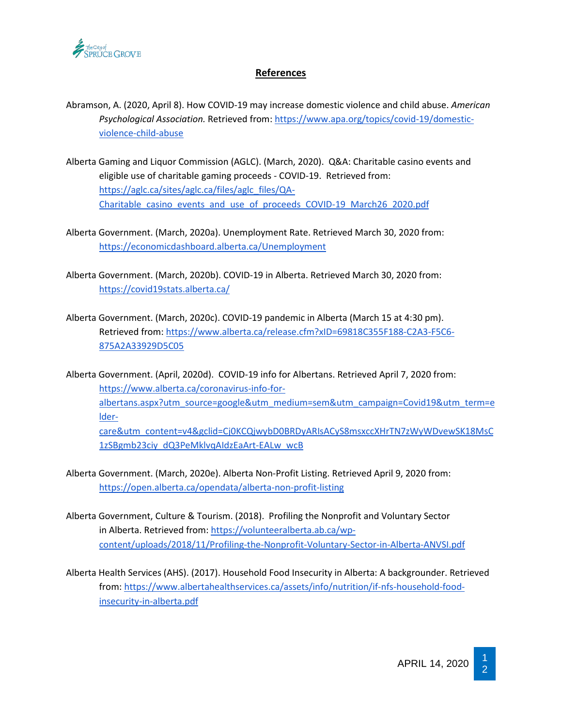

# **References**

- Abramson, A. (2020, April 8). How COVID-19 may increase domestic violence and child abuse. *American Psychological Association.* Retrieved from: [https://www.apa.org/topics/covid-19/domestic](https://www.apa.org/topics/covid-19/domestic-violence-child-abuse)[violence-child-abuse](https://www.apa.org/topics/covid-19/domestic-violence-child-abuse)
- Alberta Gaming and Liquor Commission (AGLC). (March, 2020). Q&A: Charitable casino events and eligible use of charitable gaming proceeds - COVID-19. Retrieved from: [https://aglc.ca/sites/aglc.ca/files/aglc\\_files/QA-](https://aglc.ca/sites/aglc.ca/files/aglc_files/QA-Charitable_casino_events_and_use_of_proceeds_COVID-19_March26_2020.pdf)[Charitable\\_casino\\_events\\_and\\_use\\_of\\_proceeds\\_COVID-19\\_March26\\_2020.pdf](https://aglc.ca/sites/aglc.ca/files/aglc_files/QA-Charitable_casino_events_and_use_of_proceeds_COVID-19_March26_2020.pdf)
- Alberta Government. (March, 2020a). Unemployment Rate. Retrieved March 30, 2020 from[:](https://economicdashboard.alberta.ca/Unemployment) <https://economicdashboard.alberta.ca/Unemployment>
- Alberta Government. (March, 2020b). COVID-19 in Alberta. Retrieved March 30, 2020 from[:](https://covid19stats.alberta.ca/) <https://covid19stats.alberta.ca/>
- Alberta Government. (March, 2020c). COVID-19 pandemic in Alberta (March 15 at 4:30 pm). Retrieved from: [https://www.alberta.ca/release.cfm?xID=69818C355F188-C2A3-F5C6-](https://www.alberta.ca/release.cfm?xID=69818C355F188-C2A3-F5C6-875A2A33929D5C05) [875A2A33929D5C05](https://www.alberta.ca/release.cfm?xID=69818C355F188-C2A3-F5C6-875A2A33929D5C05)
- Alberta Government. (April, 2020d). COVID-19 info for Albertans. Retrieved April 7, 2020 from: [https://www.alberta.ca/coronavirus-info-for](https://www.alberta.ca/coronavirus-info-for-albertans.aspx?utm_source=google&utm_medium=sem&utm_campaign=Covid19&utm_term=elder-care&utm_content=v4&gclid=Cj0KCQjwybD0BRDyARIsACyS8msxccXHrTN7zWyWDvewSK18MsC1zSBgmb23ciy_dQ3PeMklvqAIdzEaArt-EALw_wcB)[albertans.aspx?utm\\_source=google&utm\\_medium=sem&utm\\_campaign=Covid19&utm\\_term=e](https://www.alberta.ca/coronavirus-info-for-albertans.aspx?utm_source=google&utm_medium=sem&utm_campaign=Covid19&utm_term=elder-care&utm_content=v4&gclid=Cj0KCQjwybD0BRDyARIsACyS8msxccXHrTN7zWyWDvewSK18MsC1zSBgmb23ciy_dQ3PeMklvqAIdzEaArt-EALw_wcB) [lder](https://www.alberta.ca/coronavirus-info-for-albertans.aspx?utm_source=google&utm_medium=sem&utm_campaign=Covid19&utm_term=elder-care&utm_content=v4&gclid=Cj0KCQjwybD0BRDyARIsACyS8msxccXHrTN7zWyWDvewSK18MsC1zSBgmb23ciy_dQ3PeMklvqAIdzEaArt-EALw_wcB)[care&utm\\_content=v4&gclid=Cj0KCQjwybD0BRDyARIsACyS8msxccXHrTN7zWyWDvewSK18MsC](https://www.alberta.ca/coronavirus-info-for-albertans.aspx?utm_source=google&utm_medium=sem&utm_campaign=Covid19&utm_term=elder-care&utm_content=v4&gclid=Cj0KCQjwybD0BRDyARIsACyS8msxccXHrTN7zWyWDvewSK18MsC1zSBgmb23ciy_dQ3PeMklvqAIdzEaArt-EALw_wcB) [1zSBgmb23ciy\\_dQ3PeMklvqAIdzEaArt-EALw\\_wcB](https://www.alberta.ca/coronavirus-info-for-albertans.aspx?utm_source=google&utm_medium=sem&utm_campaign=Covid19&utm_term=elder-care&utm_content=v4&gclid=Cj0KCQjwybD0BRDyARIsACyS8msxccXHrTN7zWyWDvewSK18MsC1zSBgmb23ciy_dQ3PeMklvqAIdzEaArt-EALw_wcB)
- Alberta Government. (March, 2020e). Alberta Non-Profit Listing. Retrieved April 9, 2020 from: <https://open.alberta.ca/opendata/alberta-non-profit-listing>
- Alberta Government, Culture & Tourism. (2018). Profiling the Nonprofit and Voluntary Sector in Alberta. Retrieved from: [https://volunteeralberta.ab.ca/wp](https://volunteeralberta.ab.ca/wp-content/uploads/2018/11/Profiling-the-Nonprofit-Voluntary-Sector-in-Alberta-ANVSI.pdf)[content/uploads/2018/11/Profiling-the-Nonprofit-Voluntary-Sector-in-Alberta-ANVSI.pdf](https://volunteeralberta.ab.ca/wp-content/uploads/2018/11/Profiling-the-Nonprofit-Voluntary-Sector-in-Alberta-ANVSI.pdf)
- Alberta Health Services (AHS). (2017). Household Food Insecurity in Alberta: A backgrounder. Retrieved from: [https://www.albertahealthservices.ca/assets/info/nutrition/if-nfs-household-food](https://www.albertahealthservices.ca/assets/info/nutrition/if-nfs-household-food-insecurity-in-alberta.pdf)[insecurity-in-alberta.pdf](https://www.albertahealthservices.ca/assets/info/nutrition/if-nfs-household-food-insecurity-in-alberta.pdf)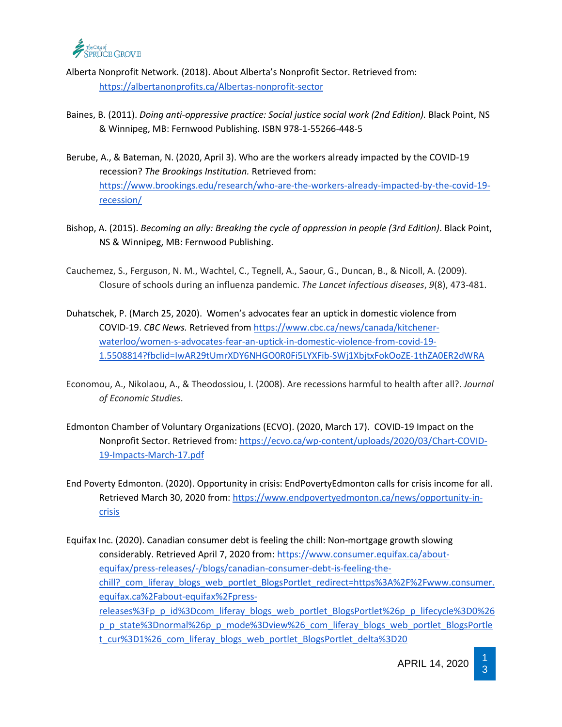

- Alberta Nonprofit Network. (2018). About Alberta's Nonprofit Sector. Retrieved from: <https://albertanonprofits.ca/Albertas-nonprofit-sector>
- Baines, B. (2011). *Doing anti-oppressive practice: Social justice social work (2nd Edition)*. Black Point, NS & Winnipeg, MB: Fernwood Publishing. ISBN 978-1-55266-448-5
- Berube, A., & Bateman, N. (2020, April 3). Who are the workers already impacted by the COVID-19 recession? *The Brookings Institution.* Retrieved from: [https://www.brookings.edu/research/who-are-the-workers-already-impacted-by-the-covid-19](https://www.brookings.edu/research/who-are-the-workers-already-impacted-by-the-covid-19-recession/) [recession/](https://www.brookings.edu/research/who-are-the-workers-already-impacted-by-the-covid-19-recession/)
- Bishop, A. (2015). *Becoming an ally: Breaking the cycle of oppression in people (3rd Edition)*. Black Point, NS & Winnipeg, MB: Fernwood Publishing.
- Cauchemez, S., Ferguson, N. M., Wachtel, C., Tegnell, A., Saour, G., Duncan, B., & Nicoll, A. (2009). Closure of schools during an influenza pandemic. *The Lancet infectious diseases*, *9*(8), 473-481.
- Duhatschek, P. (March 25, 2020). Women's advocates fear an uptick in domestic violence from COVID-19. *CBC News.* Retrieved from [https://www.cbc.ca/news/canada/kitchener](https://www.cbc.ca/news/canada/kitchener-waterloo/women-s-advocates-fear-an-uptick-in-domestic-violence-from-covid-19-1.5508814?fbclid=IwAR29tUmrXDY6NHGO0R0Fi5LYXFib-SWj1XbjtxFokOoZE-1thZA0ER2dWRA)[waterloo/women-s-advocates-fear-an-uptick-in-domestic-violence-from-covid-19-](https://www.cbc.ca/news/canada/kitchener-waterloo/women-s-advocates-fear-an-uptick-in-domestic-violence-from-covid-19-1.5508814?fbclid=IwAR29tUmrXDY6NHGO0R0Fi5LYXFib-SWj1XbjtxFokOoZE-1thZA0ER2dWRA) [1.5508814?fbclid=IwAR29tUmrXDY6NHGO0R0Fi5LYXFib-SWj1XbjtxFokOoZE-1thZA0ER2dWRA](https://www.cbc.ca/news/canada/kitchener-waterloo/women-s-advocates-fear-an-uptick-in-domestic-violence-from-covid-19-1.5508814?fbclid=IwAR29tUmrXDY6NHGO0R0Fi5LYXFib-SWj1XbjtxFokOoZE-1thZA0ER2dWRA)
- Economou, A., Nikolaou, A., & Theodossiou, I. (2008). Are recessions harmful to health after all?. *Journal of Economic Studies*.
- Edmonton Chamber of Voluntary Organizations (ECVO). (2020, March 17). COVID-19 Impact on the Nonprofit Sector. Retrieved from: [https://ecvo.ca/wp-content/uploads/2020/03/Chart-COVID-](https://ecvo.ca/wp-content/uploads/2020/03/Chart-COVID-19-Impacts-March-17.pdf)[19-Impacts-March-17.pdf](https://ecvo.ca/wp-content/uploads/2020/03/Chart-COVID-19-Impacts-March-17.pdf)
- End Poverty Edmonton. (2020). Opportunity in crisis: EndPovertyEdmonton calls for crisis income for all. Retrieved March 30, 2020 from: [https://www.endpovertyedmonton.ca/news/opportunity-in](https://www.endpovertyedmonton.ca/news/opportunity-in-crisis)[crisis](https://www.endpovertyedmonton.ca/news/opportunity-in-crisis)
- Equifax Inc. (2020). Canadian consumer debt is feeling the chill: Non-mortgage growth slowing considerably. Retrieved April 7, 2020 from: [https://www.consumer.equifax.ca/about](https://www.consumer.equifax.ca/about-equifax/press-releases/-/blogs/canadian-consumer-debt-is-feeling-the-chill?_com_liferay_blogs_web_portlet_BlogsPortlet_redirect=https%3A%2F%2Fwww.consumer.equifax.ca%2Fabout-equifax%2Fpress-releases%3Fp_p_id%3Dcom_liferay_blogs_web_portlet_BlogsPortlet%26p_p_lifecycle%3D0%26p_p_state%3Dnormal%26p_p_mode%3Dview%26_com_liferay_blogs_web_portlet_BlogsPortlet_cur%3D1%26_com_liferay_blogs_web_portlet_BlogsPortlet_delta%3D20)[equifax/press-releases/-/blogs/canadian-consumer-debt-is-feeling-the](https://www.consumer.equifax.ca/about-equifax/press-releases/-/blogs/canadian-consumer-debt-is-feeling-the-chill?_com_liferay_blogs_web_portlet_BlogsPortlet_redirect=https%3A%2F%2Fwww.consumer.equifax.ca%2Fabout-equifax%2Fpress-releases%3Fp_p_id%3Dcom_liferay_blogs_web_portlet_BlogsPortlet%26p_p_lifecycle%3D0%26p_p_state%3Dnormal%26p_p_mode%3Dview%26_com_liferay_blogs_web_portlet_BlogsPortlet_cur%3D1%26_com_liferay_blogs_web_portlet_BlogsPortlet_delta%3D20)chill? com\_liferay\_blogs\_web\_portlet\_BlogsPortlet\_redirect=https%3A%2F%2Fwww.consumer. [equifax.ca%2Fabout-equifax%2Fpress](https://www.consumer.equifax.ca/about-equifax/press-releases/-/blogs/canadian-consumer-debt-is-feeling-the-chill?_com_liferay_blogs_web_portlet_BlogsPortlet_redirect=https%3A%2F%2Fwww.consumer.equifax.ca%2Fabout-equifax%2Fpress-releases%3Fp_p_id%3Dcom_liferay_blogs_web_portlet_BlogsPortlet%26p_p_lifecycle%3D0%26p_p_state%3Dnormal%26p_p_mode%3Dview%26_com_liferay_blogs_web_portlet_BlogsPortlet_cur%3D1%26_com_liferay_blogs_web_portlet_BlogsPortlet_delta%3D20)[releases%3Fp\\_p\\_id%3Dcom\\_liferay\\_blogs\\_web\\_portlet\\_BlogsPortlet%26p\\_p\\_lifecycle%3D0%26](https://www.consumer.equifax.ca/about-equifax/press-releases/-/blogs/canadian-consumer-debt-is-feeling-the-chill?_com_liferay_blogs_web_portlet_BlogsPortlet_redirect=https%3A%2F%2Fwww.consumer.equifax.ca%2Fabout-equifax%2Fpress-releases%3Fp_p_id%3Dcom_liferay_blogs_web_portlet_BlogsPortlet%26p_p_lifecycle%3D0%26p_p_state%3Dnormal%26p_p_mode%3Dview%26_com_liferay_blogs_web_portlet_BlogsPortlet_cur%3D1%26_com_liferay_blogs_web_portlet_BlogsPortlet_delta%3D20) [p\\_p\\_state%3Dnormal%26p\\_p\\_mode%3Dview%26\\_com\\_liferay\\_blogs\\_web\\_portlet\\_BlogsPortle](https://www.consumer.equifax.ca/about-equifax/press-releases/-/blogs/canadian-consumer-debt-is-feeling-the-chill?_com_liferay_blogs_web_portlet_BlogsPortlet_redirect=https%3A%2F%2Fwww.consumer.equifax.ca%2Fabout-equifax%2Fpress-releases%3Fp_p_id%3Dcom_liferay_blogs_web_portlet_BlogsPortlet%26p_p_lifecycle%3D0%26p_p_state%3Dnormal%26p_p_mode%3Dview%26_com_liferay_blogs_web_portlet_BlogsPortlet_cur%3D1%26_com_liferay_blogs_web_portlet_BlogsPortlet_delta%3D20) t cur%3D1%26 com liferay blogs web portlet BlogsPortlet delta%3D20

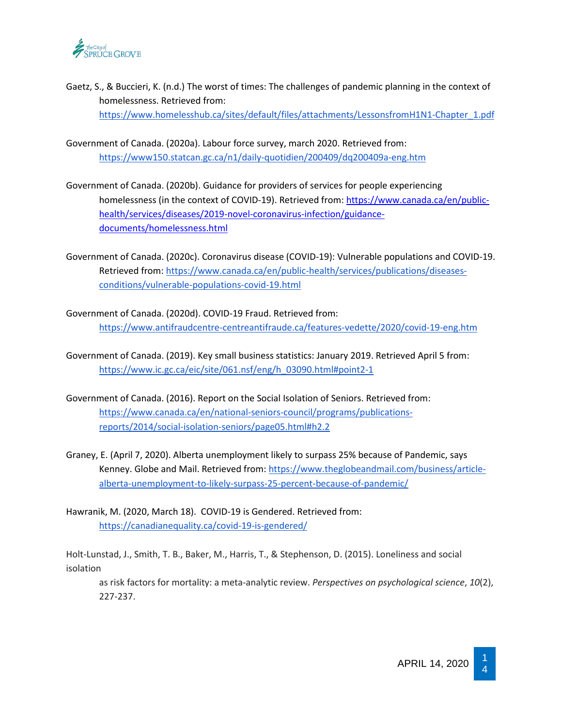

Gaetz, S., & Buccieri, K. (n.d.) The worst of times: The challenges of pandemic planning in the context of homelessness. Retrieved from: [https://www.homelesshub.ca/sites/default/files/attachments/LessonsfromH1N1-Chapter\\_1.pdf](https://www.homelesshub.ca/sites/default/files/attachments/LessonsfromH1N1-Chapter_1.pdf)

Government of Canada. (2020a). Labour force survey, march 2020. Retrieved from: <https://www150.statcan.gc.ca/n1/daily-quotidien/200409/dq200409a-eng.htm>

- Government of Canada. (2020b). Guidance for providers of services for people experiencing homelessness (in the context of COVID-19). Retrieved from: [https://www.canada.ca/en/public](https://www.canada.ca/en/public-health/services/diseases/2019-novel-coronavirus-infection/guidance-documents/homelessness.html)[health/services/diseases/2019-novel-coronavirus-infection/guidance](https://www.canada.ca/en/public-health/services/diseases/2019-novel-coronavirus-infection/guidance-documents/homelessness.html)[documents/homelessness.html](https://www.canada.ca/en/public-health/services/diseases/2019-novel-coronavirus-infection/guidance-documents/homelessness.html)
- Government of Canada. (2020c). Coronavirus disease (COVID-19): Vulnerable populations and COVID-19. Retrieved from: [https://www.canada.ca/en/public-health/services/publications/diseases](https://www.canada.ca/en/public-health/services/publications/diseases-conditions/vulnerable-populations-covid-19.html)[conditions/vulnerable-populations-covid-19.html](https://www.canada.ca/en/public-health/services/publications/diseases-conditions/vulnerable-populations-covid-19.html)
- Government of Canada. (2020d). COVID-19 Fraud. Retrieved from: <https://www.antifraudcentre-centreantifraude.ca/features-vedette/2020/covid-19-eng.htm>
- Government of Canada. (2019). Key small business statistics: January 2019. Retrieved April 5 from: [https://www.ic.gc.ca/eic/site/061.nsf/eng/h\\_03090.html#point2-1](https://www.ic.gc.ca/eic/site/061.nsf/eng/h_03090.html#point2-1)
- Government of Canada. (2016). Report on the Social Isolation of Seniors. Retrieved from: [https://www.canada.ca/en/national-seniors-council/programs/publications](https://www.canada.ca/en/national-seniors-council/programs/publications-reports/2014/social-isolation-seniors/page05.html#h2.2)[reports/2014/social-isolation-seniors/page05.html#h2.2](https://www.canada.ca/en/national-seniors-council/programs/publications-reports/2014/social-isolation-seniors/page05.html#h2.2)
- Graney, E. (April 7, 2020). Alberta unemployment likely to surpass 25% because of Pandemic, says Kenney. Globe and Mail. Retrieved from[: https://www.theglobeandmail.com/business/article](https://www.theglobeandmail.com/business/article-alberta-unemployment-to-likely-surpass-25-percent-because-of-pandemic/)[alberta-unemployment-to-likely-surpass-25-percent-because-of-pandemic/](https://www.theglobeandmail.com/business/article-alberta-unemployment-to-likely-surpass-25-percent-because-of-pandemic/)
- Hawranik, M. (2020, March 18). COVID-19 is Gendered. Retrieved from: <https://canadianequality.ca/covid-19-is-gendered/>

Holt-Lunstad, J., Smith, T. B., Baker, M., Harris, T., & Stephenson, D. (2015). Loneliness and social isolation

as risk factors for mortality: a meta-analytic review. *Perspectives on psychological science*, *10*(2), 227-237.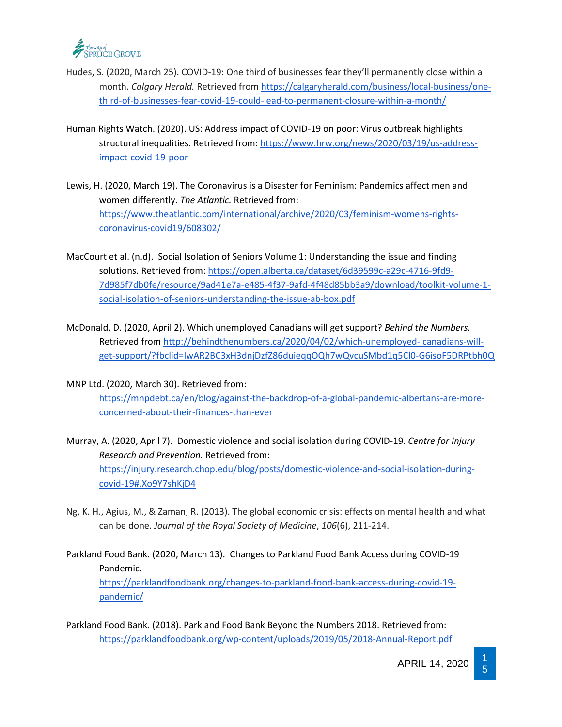

- Hudes, S. (2020, March 25). COVID-19: One third of businesses fear they'll permanently close within a month. *Calgary Herald.* Retrieved fro[m https://calgaryherald.com/business/local-business/one](https://calgaryherald.com/business/local-business/one-third-of-businesses-fear-covid-19-could-lead-to-permanent-closure-within-a-month/)[third-of-businesses-fear-covid-19-could-lead-to-permanent-closure-within-a-month/](https://calgaryherald.com/business/local-business/one-third-of-businesses-fear-covid-19-could-lead-to-permanent-closure-within-a-month/)
- Human Rights Watch. (2020). US: Address impact of COVID-19 on poor: Virus outbreak highlights structural inequalities. Retrieved from[: https://www.hrw.org/news/2020/03/19/us-address](https://www.hrw.org/news/2020/03/19/us-address-impact-covid-19-poor)[impact-covid-19-poor](https://www.hrw.org/news/2020/03/19/us-address-impact-covid-19-poor)
- Lewis, H. (2020, March 19). The Coronavirus is a Disaster for Feminism: Pandemics affect men and women differently. *The Atlantic.* Retrieved from: [https://www.theatlantic.com/international/archive/2020/03/feminism-womens-rights](https://www.theatlantic.com/international/archive/2020/03/feminism-womens-rights-coronavirus-covid19/608302/)[coronavirus-covid19/608302/](https://www.theatlantic.com/international/archive/2020/03/feminism-womens-rights-coronavirus-covid19/608302/)
- MacCourt et al. (n.d). Social Isolation of Seniors Volume 1: Understanding the issue and finding solutions. Retrieved from[: https://open.alberta.ca/dataset/6d39599c-a29c-4716-9fd9-](https://open.alberta.ca/dataset/6d39599c-a29c-4716-9fd9-7d985f7db0fe/resource/9ad41e7a-e485-4f37-9afd-4f48d85bb3a9/download/toolkit-volume-1-social-isolation-of-seniors-understanding-the-issue-ab-box.pdf) [7d985f7db0fe/resource/9ad41e7a-e485-4f37-9afd-4f48d85bb3a9/download/toolkit-volume-1](https://open.alberta.ca/dataset/6d39599c-a29c-4716-9fd9-7d985f7db0fe/resource/9ad41e7a-e485-4f37-9afd-4f48d85bb3a9/download/toolkit-volume-1-social-isolation-of-seniors-understanding-the-issue-ab-box.pdf) [social-isolation-of-seniors-understanding-the-issue-ab-box.pdf](https://open.alberta.ca/dataset/6d39599c-a29c-4716-9fd9-7d985f7db0fe/resource/9ad41e7a-e485-4f37-9afd-4f48d85bb3a9/download/toolkit-volume-1-social-isolation-of-seniors-understanding-the-issue-ab-box.pdf)
- McDonald, D. (2020, April 2). Which unemployed Canadians will get support? *Behind the Numbers.*  Retrieved from http://behindthenumbers.ca/2020/04/02/which-unemployed-canadians-will[get-support/?fbclid=IwAR2BC3xH3dnjDzfZ86duieqqOQh7wQvcuSMbd1q5Cl0-G6isoF5DRPtbh0Q](http://behindthenumbers.ca/2020/04/02/which-unemployed-canadians-will-get-support/?fbclid=IwAR2BC3xH3dnjDzfZ86duieqqOQh7wQvcuSMbd1q5Cl0-G6isoF5DRPtbh0Q)

MNP Ltd. (2020, March 30). Retrieved from: [https://mnpdebt.ca/en/blog/against-the-backdrop-of-a-global-pandemic-albertans-are-more](https://mnpdebt.ca/en/blog/against-the-backdrop-of-a-global-pandemic-albertans-are-more-concerned-about-their-finances-than-ever)[concerned-about-their-finances-than-ever](https://mnpdebt.ca/en/blog/against-the-backdrop-of-a-global-pandemic-albertans-are-more-concerned-about-their-finances-than-ever)

- Murray, A. (2020, April 7). Domestic violence and social isolation during COVID-19. *Centre for Injury Research and Prevention.* Retrieved from: [https://injury.research.chop.edu/blog/posts/domestic-violence-and-social-isolation-during](https://injury.research.chop.edu/blog/posts/domestic-violence-and-social-isolation-during-covid-19#.Xo9Y7shKjD4)[covid-19#.Xo9Y7shKjD4](https://injury.research.chop.edu/blog/posts/domestic-violence-and-social-isolation-during-covid-19#.Xo9Y7shKjD4)
- Ng, K. H., Agius, M., & Zaman, R. (2013). The global economic crisis: effects on mental health and what can be done. *Journal of the Royal Society of Medicine*, *106*(6), 211-214.
- Parkland Food Bank. (2020, March 13). Changes to Parkland Food Bank Access during COVID-19 Pandemic. [https://parklandfoodbank.org/changes-to-parkland-food-bank-access-during-covid-19](https://parklandfoodbank.org/changes-to-parkland-food-bank-access-during-covid-19-pandemic/) [pandemic/](https://parklandfoodbank.org/changes-to-parkland-food-bank-access-during-covid-19-pandemic/)

Parkland Food Bank. (2018). Parkland Food Bank Beyond the Numbers 2018. Retrieved from: <https://parklandfoodbank.org/wp-content/uploads/2019/05/2018-Annual-Report.pdf>



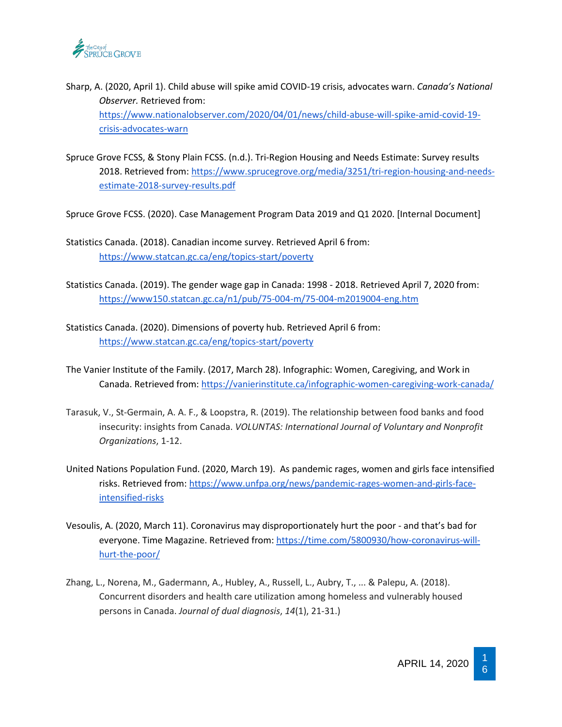

- Sharp, A. (2020, April 1). Child abuse will spike amid COVID-19 crisis, advocates warn. *Canada's National Observer.* Retrieved from: [https://www.nationalobserver.com/2020/04/01/news/child-abuse-will-spike-amid-covid-19](https://www.nationalobserver.com/2020/04/01/news/child-abuse-will-spike-amid-covid-19-crisis-advocates-warn) [crisis-advocates-warn](https://www.nationalobserver.com/2020/04/01/news/child-abuse-will-spike-amid-covid-19-crisis-advocates-warn)
- Spruce Grove FCSS, & Stony Plain FCSS. (n.d.). Tri-Region Housing and Needs Estimate: Survey results 2018. Retrieved from: [https://www.sprucegrove.org/media/3251/tri-region-housing-and-needs](https://www.sprucegrove.org/media/3251/tri-region-housing-and-needs-estimate-2018-survey-results.pdf)[estimate-2018-survey-results.pdf](https://www.sprucegrove.org/media/3251/tri-region-housing-and-needs-estimate-2018-survey-results.pdf)

Spruce Grove FCSS. (2020). Case Management Program Data 2019 and Q1 2020. [Internal Document]

- Statistics Canada. (2018). Canadian income survey. Retrieved April 6 from: <https://www.statcan.gc.ca/eng/topics-start/poverty>
- Statistics Canada. (2019). The gender wage gap in Canada: 1998 2018. Retrieved April 7, 2020 from: <https://www150.statcan.gc.ca/n1/pub/75-004-m/75-004-m2019004-eng.htm>
- Statistics Canada. (2020). Dimensions of poverty hub. Retrieved April 6 from: <https://www.statcan.gc.ca/eng/topics-start/poverty>
- The Vanier Institute of the Family. (2017, March 28). Infographic: Women, Caregiving, and Work in Canada. Retrieved from:<https://vanierinstitute.ca/infographic-women-caregiving-work-canada/>
- Tarasuk, V., St-Germain, A. A. F., & Loopstra, R. (2019). The relationship between food banks and food insecurity: insights from Canada. *VOLUNTAS: International Journal of Voluntary and Nonprofit Organizations*, 1-12.
- United Nations Population Fund. (2020, March 19). As pandemic rages, women and girls face intensified risks. Retrieved from: [https://www.unfpa.org/news/pandemic-rages-women-and-girls-face](https://www.unfpa.org/news/pandemic-rages-women-and-girls-face-intensified-risks)[intensified-risks](https://www.unfpa.org/news/pandemic-rages-women-and-girls-face-intensified-risks)
- Vesoulis, A. (2020, March 11). Coronavirus may disproportionately hurt the poor and that's bad for everyone. Time Magazine. Retrieved from: [https://time.com/5800930/how-coronavirus-will](https://time.com/5800930/how-coronavirus-will-hurt-the-poor/)[hurt-the-poor/](https://time.com/5800930/how-coronavirus-will-hurt-the-poor/)
- Zhang, L., Norena, M., Gadermann, A., Hubley, A., Russell, L., Aubry, T., ... & Palepu, A. (2018). Concurrent disorders and health care utilization among homeless and vulnerably housed persons in Canada. *Journal of dual diagnosis*, *14*(1), 21-31.)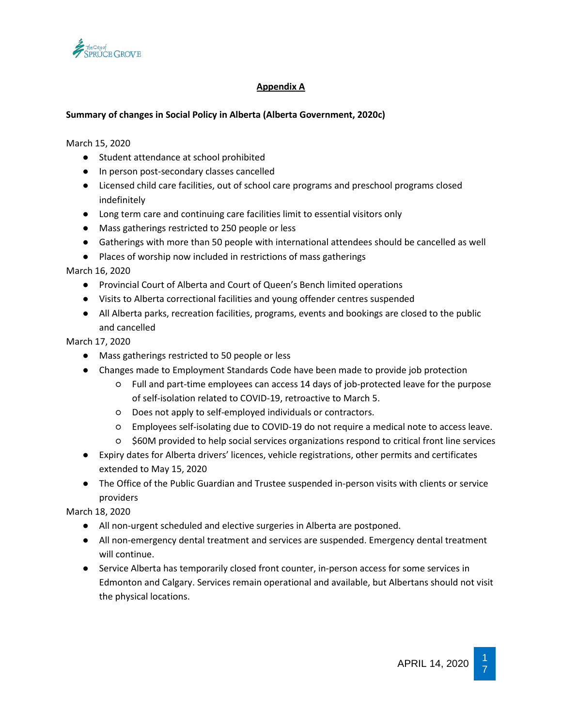

# **Appendix A**

### **Summary of changes in Social Policy in Alberta (Alberta Government, 2020c)**

March 15, 2020

- Student attendance at school prohibited
- In person post-secondary classes cancelled
- Licensed child care facilities, out of school care programs and preschool programs closed indefinitely
- Long term care and continuing care facilities limit to essential visitors only
- Mass gatherings restricted to 250 people or less
- Gatherings with more than 50 people with international attendees should be cancelled as well
- Places of worship now included in restrictions of mass gatherings

March 16, 2020

- Provincial Court of Alberta and Court of Queen's Bench limited operations
- Visits to Alberta correctional facilities and young offender centres suspended
- All Alberta parks, recreation facilities, programs, events and bookings are closed to the public and cancelled

March 17, 2020

- Mass gatherings restricted to 50 people or less
- Changes made to Employment Standards Code have been made to provide job protection
	- Full and part-time employees can access 14 days of job-protected leave for the purpose of self-isolation related to COVID-19, retroactive to March 5.
	- Does not apply to self-employed individuals or contractors.
	- Employees self-isolating due to COVID-19 do not require a medical note to access leave.
	- \$60M provided to help social services organizations respond to critical front line services
- Expiry dates for Alberta drivers' licences, vehicle registrations, other permits and certificates extended to May 15, 2020
- The Office of the Public Guardian and Trustee suspended in-person visits with clients or service providers

March 18, 2020

- All non-urgent scheduled and elective surgeries in Alberta are postponed.
- All non-emergency dental treatment and services are suspended. Emergency dental treatment will continue.
- Service Alberta has temporarily closed front counter, in-person access for some services in Edmonton and Calgary. Services remain operational and available, but Albertans should not visit the physical locations.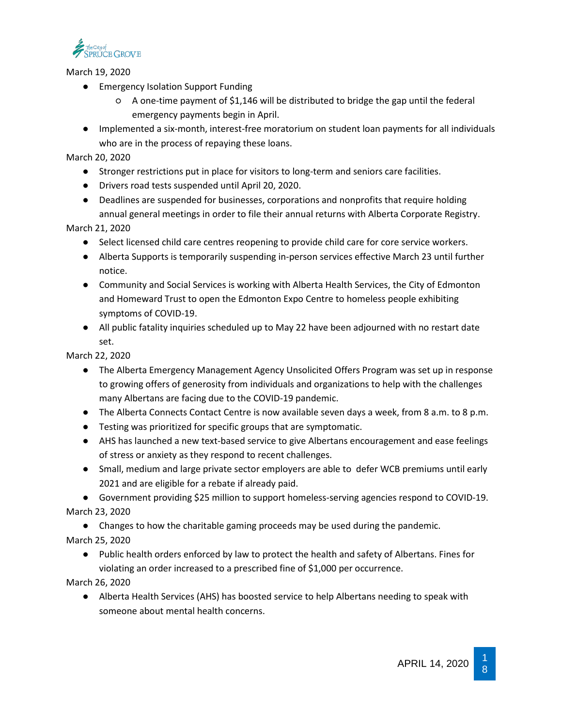

March 19, 2020

- Emergency Isolation Support Funding
	- A one-time payment of \$1,146 will be distributed to bridge the gap until the federal emergency payments begin in April.
- Implemented a six-month, interest-free moratorium on student loan payments for all individuals who are in the process of repaying these loans.

# March 20, 2020

- Stronger restrictions put in place for visitors to long-term and seniors care facilities.
- Drivers road tests suspended until April 20, 2020.
- Deadlines are suspended for businesses, corporations and nonprofits that require holding annual general meetings in order to file their annual returns with Alberta Corporate Registry.

March 21, 2020

- Select licensed child care centres reopening to provide child care for core service workers.
- Alberta Supports is temporarily suspending in-person services effective March 23 until further notice.
- Community and Social Services is working with Alberta Health Services, the City of Edmonton and Homeward Trust to open the Edmonton Expo Centre to homeless people exhibiting symptoms of COVID-19.
- All public fatality inquiries scheduled up to May 22 have been adjourned with no restart date set.

March 22, 2020

- The Alberta Emergency Management Agency Unsolicited Offers Program was set up in response to growing offers of generosity from individuals and organizations to help with the challenges many Albertans are facing due to the COVID-19 pandemic.
- The Alberta Connects Contact Centre is now available seven days a week, from 8 a.m. to 8 p.m.
- Testing was prioritized for specific groups that are symptomatic.
- AHS has launched a new text-based service to give Albertans encouragement and ease feelings of stress or anxiety as they respond to recent challenges.
- Small, medium and large private sector employers are able to defer WCB premiums until early 2021 and are eligible for a rebate if already paid.

● Government providing \$25 million to support homeless-serving agencies respond to COVID-19. March 23, 2020

● Changes to how the charitable gaming proceeds may be used during the pandemic. March 25, 2020

● Public health orders enforced by law to protect the health and safety of Albertans. Fines for violating an order increased to a prescribed fine of \$1,000 per occurrence.

March 26, 2020

● Alberta Health Services (AHS) has boosted service to help Albertans needing to speak with someone about mental health concerns.